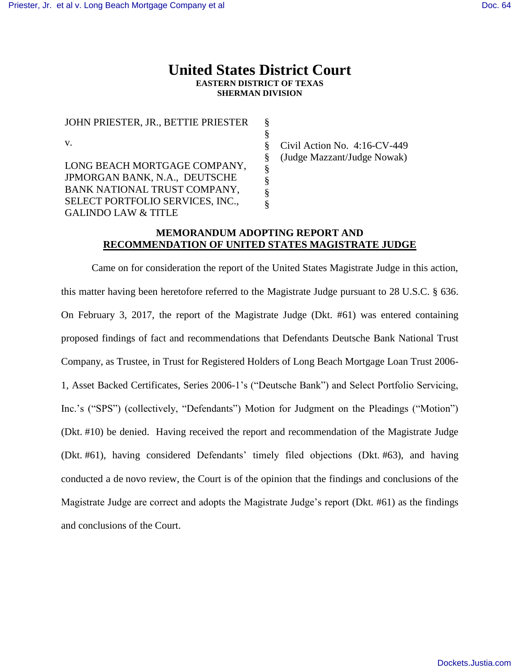# **United States District Court EASTERN DISTRICT OF TEXAS SHERMAN DIVISION**

| JOHN PRIESTER, JR., BETTIE PRIESTER | Ş |
|-------------------------------------|---|
|                                     | § |
| V.                                  | § |
|                                     | § |
| LONG BEACH MORTGAGE COMPANY,        | ş |
| JPMORGAN BANK, N.A., DEUTSCHE       | § |
| BANK NATIONAL TRUST COMPANY,        | § |
| SELECT PORTFOLIO SERVICES, INC.,    | Ş |
| <b>GALINDO LAW &amp; TITLE</b>      |   |

Civil Action No. 4:16-CV-449 (Judge Mazzant/Judge Nowak)

# **MEMORANDUM ADOPTING REPORT AND RECOMMENDATION OF UNITED STATES MAGISTRATE JUDGE**

Came on for consideration the report of the United States Magistrate Judge in this action, this matter having been heretofore referred to the Magistrate Judge pursuant to 28 U.S.C. § 636. On February 3, 2017, the report of the Magistrate Judge (Dkt. #61) was entered containing proposed findings of fact and recommendations that Defendants Deutsche Bank National Trust Company, as Trustee, in Trust for Registered Holders of Long Beach Mortgage Loan Trust 2006- 1, Asset Backed Certificates, Series 2006-1's ("Deutsche Bank") and Select Portfolio Servicing, Inc.'s ("SPS") (collectively, "Defendants") Motion for Judgment on the Pleadings ("Motion") (Dkt. #10) be denied. Having received the report and recommendation of the Magistrate Judge (Dkt. #61), having considered Defendants' timely filed objections (Dkt. #63), and having conducted a de novo review, the Court is of the opinion that the findings and conclusions of the Magistrate Judge are correct and adopts the Magistrate Judge's report (Dkt. #61) as the findings and conclusions of the Court.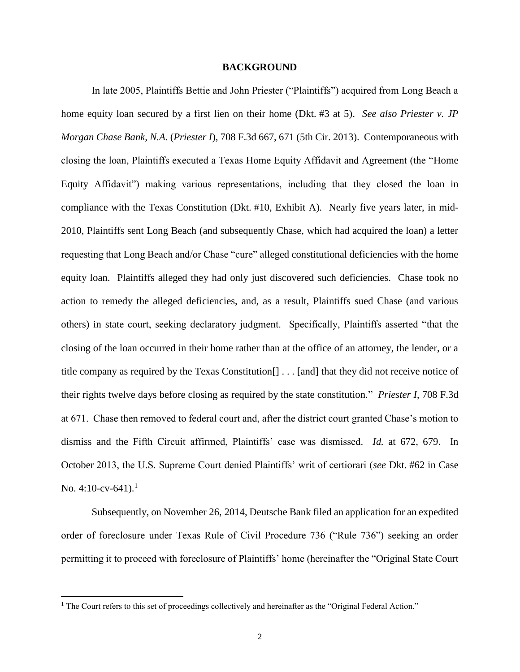#### **BACKGROUND**

In late 2005, Plaintiffs Bettie and John Priester ("Plaintiffs") acquired from Long Beach a home equity loan secured by a first lien on their home (Dkt. #3 at 5). *See also Priester v. JP Morgan Chase Bank, N.A.* (*Priester I*), 708 F.3d 667, 671 (5th Cir. 2013). Contemporaneous with closing the loan, Plaintiffs executed a Texas Home Equity Affidavit and Agreement (the "Home Equity Affidavit") making various representations, including that they closed the loan in compliance with the Texas Constitution (Dkt. #10, Exhibit A). Nearly five years later, in mid-2010, Plaintiffs sent Long Beach (and subsequently Chase, which had acquired the loan) a letter requesting that Long Beach and/or Chase "cure" alleged constitutional deficiencies with the home equity loan. Plaintiffs alleged they had only just discovered such deficiencies. Chase took no action to remedy the alleged deficiencies, and, as a result, Plaintiffs sued Chase (and various others) in state court, seeking declaratory judgment. Specifically, Plaintiffs asserted "that the closing of the loan occurred in their home rather than at the office of an attorney, the lender, or a title company as required by the Texas Constitution[] . . . [and] that they did not receive notice of their rights twelve days before closing as required by the state constitution." *Priester I*, 708 F.3d at 671. Chase then removed to federal court and, after the district court granted Chase's motion to dismiss and the Fifth Circuit affirmed, Plaintiffs' case was dismissed. *Id.* at 672, 679. In October 2013, the U.S. Supreme Court denied Plaintiffs' writ of certiorari (*see* Dkt. #62 in Case No. 4:10-cv-641).<sup>1</sup>

Subsequently, on November 26, 2014, Deutsche Bank filed an application for an expedited order of foreclosure under Texas Rule of Civil Procedure 736 ("Rule 736") seeking an order permitting it to proceed with foreclosure of Plaintiffs' home (hereinafter the "Original State Court

 $\overline{a}$ 

<sup>&</sup>lt;sup>1</sup> The Court refers to this set of proceedings collectively and hereinafter as the "Original Federal Action."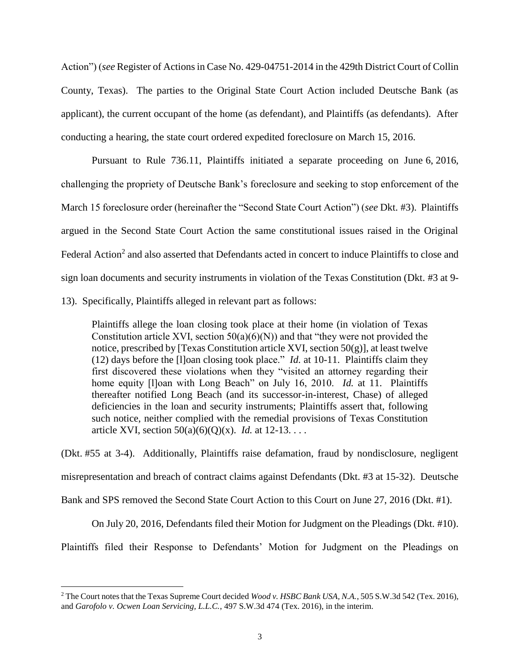Action") (*see* Register of Actions in Case No. 429-04751-2014 in the 429th District Court of Collin County, Texas). The parties to the Original State Court Action included Deutsche Bank (as applicant), the current occupant of the home (as defendant), and Plaintiffs (as defendants). After conducting a hearing, the state court ordered expedited foreclosure on March 15, 2016.

Pursuant to Rule 736.11, Plaintiffs initiated a separate proceeding on June 6, 2016, challenging the propriety of Deutsche Bank's foreclosure and seeking to stop enforcement of the March 15 foreclosure order (hereinafter the "Second State Court Action") (*see* Dkt. #3). Plaintiffs argued in the Second State Court Action the same constitutional issues raised in the Original Federal Action<sup>2</sup> and also asserted that Defendants acted in concert to induce Plaintiffs to close and sign loan documents and security instruments in violation of the Texas Constitution (Dkt. #3 at 9- 13). Specifically, Plaintiffs alleged in relevant part as follows:

Plaintiffs allege the loan closing took place at their home (in violation of Texas Constitution article XVI, section  $50(a)(6)(N)$  and that "they were not provided the notice, prescribed by [Texas Constitution article XVI, section  $50(g)$ ], at least twelve (12) days before the [l]oan closing took place." *Id.* at 10-11. Plaintiffs claim they first discovered these violations when they "visited an attorney regarding their home equity [l]oan with Long Beach" on July 16, 2010. *Id.* at 11. Plaintiffs thereafter notified Long Beach (and its successor-in-interest, Chase) of alleged deficiencies in the loan and security instruments; Plaintiffs assert that, following such notice, neither complied with the remedial provisions of Texas Constitution article XVI, section 50(a)(6)(Q)(x). *Id.* at 12-13. . . .

(Dkt. #55 at 3-4). Additionally, Plaintiffs raise defamation, fraud by nondisclosure, negligent misrepresentation and breach of contract claims against Defendants (Dkt. #3 at 15-32). Deutsche Bank and SPS removed the Second State Court Action to this Court on June 27, 2016 (Dkt. #1).

On July 20, 2016, Defendants filed their Motion for Judgment on the Pleadings (Dkt. #10).

Plaintiffs filed their Response to Defendants' Motion for Judgment on the Pleadings on

 $\overline{a}$ 

<sup>2</sup> The Court notes that the Texas Supreme Court decided *Wood v. HSBC Bank USA, N.A.*, 505 S.W.3d 542 (Tex. 2016), and *Garofolo v. Ocwen Loan Servicing, L.L.C.*, 497 S.W.3d 474 (Tex. 2016), in the interim.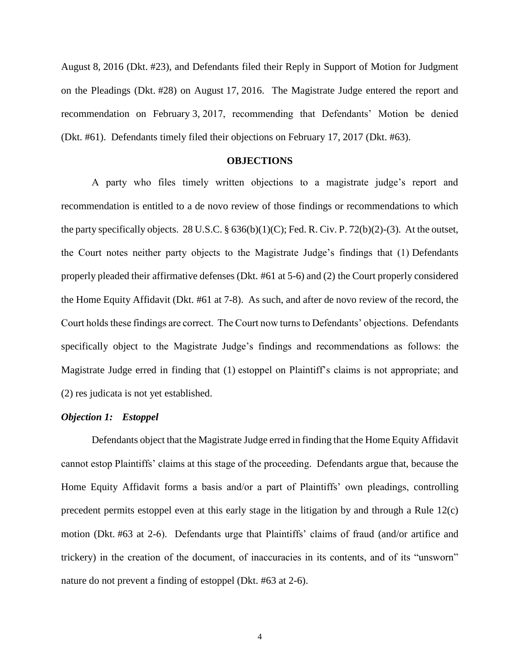August 8, 2016 (Dkt. #23), and Defendants filed their Reply in Support of Motion for Judgment on the Pleadings (Dkt. #28) on August 17, 2016. The Magistrate Judge entered the report and recommendation on February 3, 2017, recommending that Defendants' Motion be denied (Dkt. #61). Defendants timely filed their objections on February 17, 2017 (Dkt. #63).

### **OBJECTIONS**

A party who files timely written objections to a magistrate judge's report and recommendation is entitled to a de novo review of those findings or recommendations to which the party specifically objects. 28 U.S.C. § 636(b)(1)(C); Fed. R. Civ. P. 72(b)(2)-(3). At the outset, the Court notes neither party objects to the Magistrate Judge's findings that (1) Defendants properly pleaded their affirmative defenses (Dkt. #61 at 5-6) and (2) the Court properly considered the Home Equity Affidavit (Dkt. #61 at 7-8). As such, and after de novo review of the record, the Court holds these findings are correct. The Court now turns to Defendants' objections. Defendants specifically object to the Magistrate Judge's findings and recommendations as follows: the Magistrate Judge erred in finding that (1) estoppel on Plaintiff's claims is not appropriate; and (2) res judicata is not yet established.

#### *Objection 1: Estoppel*

Defendants object that the Magistrate Judge erred in finding that the Home Equity Affidavit cannot estop Plaintiffs' claims at this stage of the proceeding. Defendants argue that, because the Home Equity Affidavit forms a basis and/or a part of Plaintiffs' own pleadings, controlling precedent permits estoppel even at this early stage in the litigation by and through a Rule 12(c) motion (Dkt. #63 at 2-6). Defendants urge that Plaintiffs' claims of fraud (and/or artifice and trickery) in the creation of the document, of inaccuracies in its contents, and of its "unsworn" nature do not prevent a finding of estoppel (Dkt. #63 at 2-6).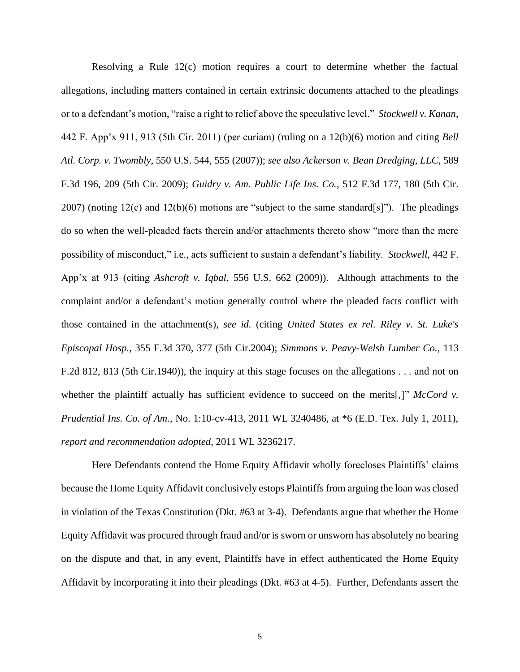Resolving a Rule 12(c) motion requires a court to determine whether the factual allegations, including matters contained in certain extrinsic documents attached to the pleadings or to a defendant's motion, "raise a right to relief above the speculative level." *Stockwell v. Kanan*, 442 F. App'x 911, 913 (5th Cir. 2011) (per curiam) (ruling on a 12(b)(6) motion and citing *Bell Atl. Corp. v. Twombly*, 550 U.S. 544, 555 (2007)); *see also Ackerson v. Bean Dredging, LLC*, 589 F.3d 196, 209 (5th Cir. 2009); *Guidry v. Am. Public Life Ins. Co.*, 512 F.3d 177, 180 (5th Cir. 2007) (noting 12(c) and 12(b)(6) motions are "subject to the same standard[s]"). The pleadings do so when the well-pleaded facts therein and/or attachments thereto show "more than the mere possibility of misconduct," i.e., acts sufficient to sustain a defendant's liability. *Stockwell*, 442 F. App'x at 913 (citing *Ashcroft v. Iqbal*, 556 U.S. 662 (2009)). Although attachments to the complaint and/or a defendant's motion generally control where the pleaded facts conflict with those contained in the attachment(s), *see id.* (citing *United States ex rel. Riley v. St. Luke's Episcopal Hosp.*, 355 F.3d 370, 377 (5th Cir.2004); *Simmons v. Peavy-Welsh Lumber Co.*, 113 F.2d 812, 813 (5th Cir.1940)), the inquiry at this stage focuses on the allegations . . . and not on whether the plaintiff actually has sufficient evidence to succeed on the merits[,]" *McCord v. Prudential Ins. Co. of Am.*, No. 1:10-cv-413, 2011 WL 3240486, at \*6 (E.D. Tex. July 1, 2011), *report and recommendation adopted*, 2011 WL 3236217.

Here Defendants contend the Home Equity Affidavit wholly forecloses Plaintiffs' claims because the Home Equity Affidavit conclusively estops Plaintiffs from arguing the loan was closed in violation of the Texas Constitution (Dkt. #63 at 3-4). Defendants argue that whether the Home Equity Affidavit was procured through fraud and/or is sworn or unsworn has absolutely no bearing on the dispute and that, in any event, Plaintiffs have in effect authenticated the Home Equity Affidavit by incorporating it into their pleadings (Dkt. #63 at 4-5). Further, Defendants assert the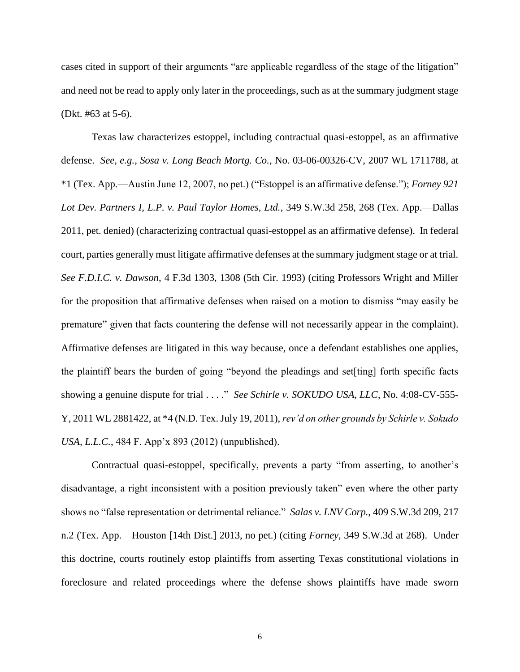cases cited in support of their arguments "are applicable regardless of the stage of the litigation" and need not be read to apply only later in the proceedings, such as at the summary judgment stage (Dkt. #63 at 5-6).

Texas law characterizes estoppel, including contractual quasi-estoppel, as an affirmative defense. *See, e.g.*, *Sosa v. Long Beach Mortg. Co.*, No. 03-06-00326-CV, 2007 WL 1711788, at \*1 (Tex. App.—Austin June 12, 2007, no pet.) ("Estoppel is an affirmative defense."); *Forney 921 Lot Dev. Partners I, L.P. v. Paul Taylor Homes, Ltd.*, 349 S.W.3d 258, 268 (Tex. App.—Dallas 2011, pet. denied) (characterizing contractual quasi-estoppel as an affirmative defense). In federal court, parties generally must litigate affirmative defenses at the summary judgment stage or at trial. *See F.D.I.C. v. Dawson*, 4 F.3d 1303, 1308 (5th Cir. 1993) (citing Professors Wright and Miller for the proposition that affirmative defenses when raised on a motion to dismiss "may easily be premature" given that facts countering the defense will not necessarily appear in the complaint). Affirmative defenses are litigated in this way because, once a defendant establishes one applies, the plaintiff bears the burden of going "beyond the pleadings and set[ting] forth specific facts showing a genuine dispute for trial . . . ." *See Schirle v. SOKUDO USA, LLC*, No. 4:08-CV-555- Y, 2011 WL 2881422, at \*4 (N.D. Tex. July 19, 2011), *rev'd on other grounds by Schirle v. Sokudo USA, L.L.C.*, 484 F. App'x 893 (2012) (unpublished).

Contractual quasi-estoppel, specifically, prevents a party "from asserting, to another's disadvantage, a right inconsistent with a position previously taken" even where the other party shows no "false representation or detrimental reliance." *Salas v. LNV Corp.*, 409 S.W.3d 209, 217 n.2 (Tex. App.—Houston [14th Dist.] 2013, no pet.) (citing *Forney*, 349 S.W.3d at 268). Under this doctrine, courts routinely estop plaintiffs from asserting Texas constitutional violations in foreclosure and related proceedings where the defense shows plaintiffs have made sworn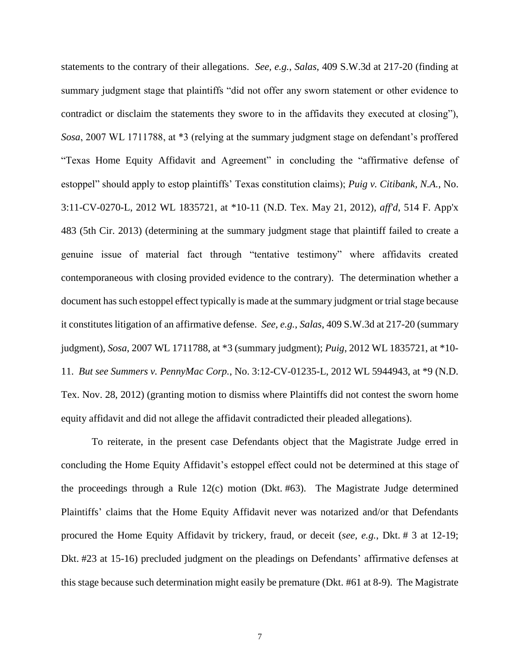statements to the contrary of their allegations. *See, e.g.*, *Salas*, 409 S.W.3d at 217-20 (finding at summary judgment stage that plaintiffs "did not offer any sworn statement or other evidence to contradict or disclaim the statements they swore to in the affidavits they executed at closing"), *Sosa*, 2007 WL 1711788, at \*3 (relying at the summary judgment stage on defendant's proffered "Texas Home Equity Affidavit and Agreement" in concluding the "affirmative defense of estoppel" should apply to estop plaintiffs' Texas constitution claims); *Puig v. Citibank, N.A.*, No. 3:11-CV-0270-L, 2012 WL 1835721, at \*10-11 (N.D. Tex. May 21, 2012), *aff'd*, 514 F. App'x 483 (5th Cir. 2013) (determining at the summary judgment stage that plaintiff failed to create a genuine issue of material fact through "tentative testimony" where affidavits created contemporaneous with closing provided evidence to the contrary). The determination whether a document has such estoppel effect typically is made at the summary judgment or trial stage because it constitutes litigation of an affirmative defense. *See, e.g.*, *Salas*, 409 S.W.3d at 217-20 (summary judgment), *Sosa*, 2007 WL 1711788, at \*3 (summary judgment); *Puig*, 2012 WL 1835721, at \*10- 11. *But see Summers v. PennyMac Corp.*, No. 3:12-CV-01235-L, 2012 WL 5944943, at \*9 (N.D. Tex. Nov. 28, 2012) (granting motion to dismiss where Plaintiffs did not contest the sworn home equity affidavit and did not allege the affidavit contradicted their pleaded allegations).

To reiterate, in the present case Defendants object that the Magistrate Judge erred in concluding the Home Equity Affidavit's estoppel effect could not be determined at this stage of the proceedings through a Rule 12(c) motion (Dkt. #63). The Magistrate Judge determined Plaintiffs' claims that the Home Equity Affidavit never was notarized and/or that Defendants procured the Home Equity Affidavit by trickery, fraud, or deceit (*see, e.g.*, Dkt. # 3 at 12-19; Dkt. #23 at 15-16) precluded judgment on the pleadings on Defendants' affirmative defenses at this stage because such determination might easily be premature (Dkt. #61 at 8-9). The Magistrate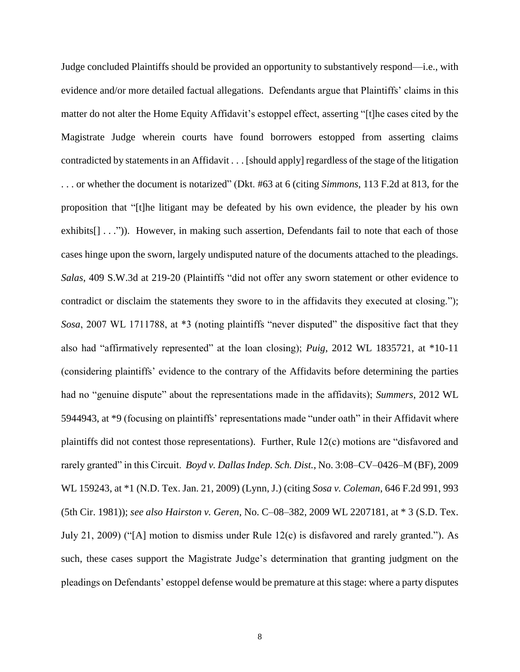Judge concluded Plaintiffs should be provided an opportunity to substantively respond—i.e., with evidence and/or more detailed factual allegations. Defendants argue that Plaintiffs' claims in this matter do not alter the Home Equity Affidavit's estoppel effect, asserting "[t]he cases cited by the Magistrate Judge wherein courts have found borrowers estopped from asserting claims contradicted by statements in an Affidavit . . . [should apply] regardless of the stage of the litigation . . . or whether the document is notarized" (Dkt. #63 at 6 (citing *Simmons*, 113 F.2d at 813, for the proposition that "[t]he litigant may be defeated by his own evidence, the pleader by his own exhibits[] . . .")). However, in making such assertion, Defendants fail to note that each of those cases hinge upon the sworn, largely undisputed nature of the documents attached to the pleadings. *Salas*, 409 S.W.3d at 219-20 (Plaintiffs "did not offer any sworn statement or other evidence to contradict or disclaim the statements they swore to in the affidavits they executed at closing."); *Sosa*, 2007 WL 1711788, at \*3 (noting plaintiffs "never disputed" the dispositive fact that they also had "affirmatively represented" at the loan closing); *Puig*, 2012 WL 1835721, at \*10-11 (considering plaintiffs' evidence to the contrary of the Affidavits before determining the parties had no "genuine dispute" about the representations made in the affidavits); *Summers*, 2012 WL 5944943, at \*9 (focusing on plaintiffs' representations made "under oath" in their Affidavit where plaintiffs did not contest those representations). Further, Rule 12(c) motions are "disfavored and rarely granted" in this Circuit. *Boyd v. Dallas Indep. Sch. Dist.*, No. 3:08–CV–0426–M (BF), 2009 WL 159243, at \*1 (N.D. Tex. Jan. 21, 2009) (Lynn, J.) (citing *Sosa v. Coleman*, 646 F.2d 991, 993 (5th Cir. 1981)); *see also Hairston v. Geren*, No. C–08–382, 2009 WL 2207181, at \* 3 (S.D. Tex. July 21, 2009) ("[A] motion to dismiss under Rule 12(c) is disfavored and rarely granted."). As such, these cases support the Magistrate Judge's determination that granting judgment on the pleadings on Defendants' estoppel defense would be premature at this stage: where a party disputes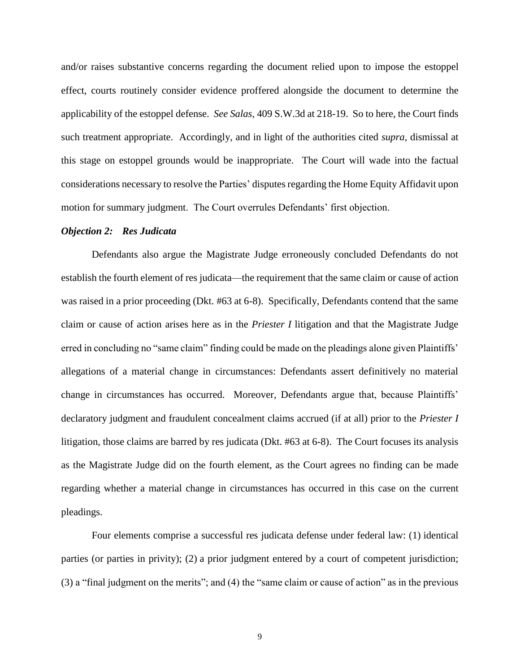and/or raises substantive concerns regarding the document relied upon to impose the estoppel effect, courts routinely consider evidence proffered alongside the document to determine the applicability of the estoppel defense. *See Salas*, 409 S.W.3d at 218-19. So to here, the Court finds such treatment appropriate. Accordingly, and in light of the authorities cited *supra*, dismissal at this stage on estoppel grounds would be inappropriate. The Court will wade into the factual considerations necessary to resolve the Parties' disputes regarding the Home Equity Affidavit upon motion for summary judgment. The Court overrules Defendants' first objection.

# *Objection 2: Res Judicata*

Defendants also argue the Magistrate Judge erroneously concluded Defendants do not establish the fourth element of res judicata—the requirement that the same claim or cause of action was raised in a prior proceeding (Dkt. #63 at 6-8). Specifically, Defendants contend that the same claim or cause of action arises here as in the *Priester I* litigation and that the Magistrate Judge erred in concluding no "same claim" finding could be made on the pleadings alone given Plaintiffs' allegations of a material change in circumstances: Defendants assert definitively no material change in circumstances has occurred. Moreover, Defendants argue that, because Plaintiffs' declaratory judgment and fraudulent concealment claims accrued (if at all) prior to the *Priester I* litigation, those claims are barred by res judicata (Dkt. #63 at 6-8). The Court focuses its analysis as the Magistrate Judge did on the fourth element, as the Court agrees no finding can be made regarding whether a material change in circumstances has occurred in this case on the current pleadings.

Four elements comprise a successful res judicata defense under federal law: (1) identical parties (or parties in privity); (2) a prior judgment entered by a court of competent jurisdiction; (3) a "final judgment on the merits"; and (4) the "same claim or cause of action" as in the previous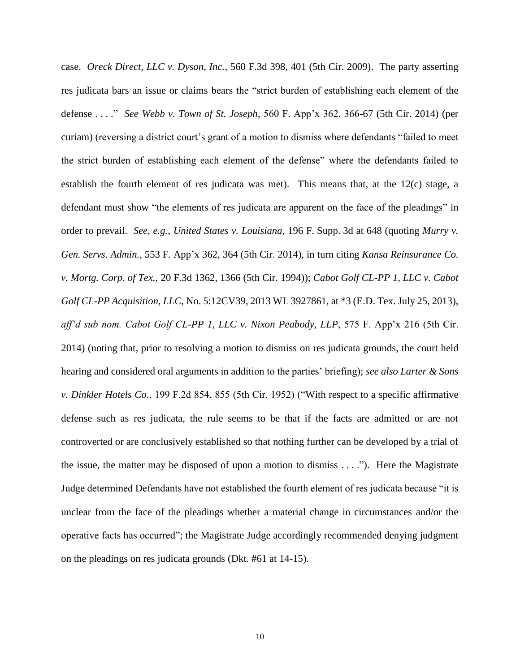case. *Oreck Direct, LLC v. Dyson, Inc.*, 560 F.3d 398, 401 (5th Cir. 2009). The party asserting res judicata bars an issue or claims bears the "strict burden of establishing each element of the defense . . . ." *See Webb v. Town of St. Joseph*, 560 F. App'x 362, 366-67 (5th Cir. 2014) (per curiam) (reversing a district court's grant of a motion to dismiss where defendants "failed to meet the strict burden of establishing each element of the defense" where the defendants failed to establish the fourth element of res judicata was met). This means that, at the 12(c) stage, a defendant must show "the elements of res judicata are apparent on the face of the pleadings" in order to prevail. *See, e.g.*, *United States v. Louisiana*, 196 F. Supp. 3d at 648 (quoting *Murry v. Gen. Servs. Admin.*, 553 F. App'x 362, 364 (5th Cir. 2014), in turn citing *Kansa Reinsurance Co. v. Mortg. Corp. of Tex.*, 20 F.3d 1362, 1366 (5th Cir. 1994)); *Cabot Golf CL-PP 1, LLC v. Cabot Golf CL-PP Acquisition, LLC*, No. 5:12CV39, 2013 WL 3927861, at \*3 (E.D. Tex. July 25, 2013), *aff'd sub nom. Cabot Golf CL-PP 1, LLC v. Nixon Peabody, LLP*, 575 F. App'x 216 (5th Cir. 2014) (noting that, prior to resolving a motion to dismiss on res judicata grounds, the court held hearing and considered oral arguments in addition to the parties' briefing); *see also Larter & Sons v. Dinkler Hotels Co.*, 199 F.2d 854, 855 (5th Cir. 1952) ("With respect to a specific affirmative defense such as res judicata, the rule seems to be that if the facts are admitted or are not controverted or are conclusively established so that nothing further can be developed by a trial of the issue, the matter may be disposed of upon a motion to dismiss  $\dots$ ."). Here the Magistrate Judge determined Defendants have not established the fourth element of res judicata because "it is unclear from the face of the pleadings whether a material change in circumstances and/or the operative facts has occurred"; the Magistrate Judge accordingly recommended denying judgment on the pleadings on res judicata grounds (Dkt. #61 at 14-15).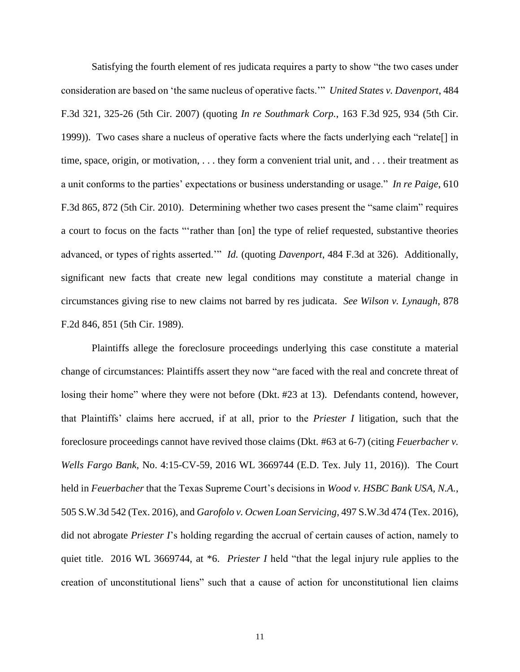Satisfying the fourth element of res judicata requires a party to show "the two cases under consideration are based on 'the same nucleus of operative facts.'" *United States v. Davenport*, 484 F.3d 321, 325-26 (5th Cir. 2007) (quoting *In re Southmark Corp.*, 163 F.3d 925, 934 (5th Cir. 1999)). Two cases share a nucleus of operative facts where the facts underlying each "relate[] in time, space, origin, or motivation, . . . they form a convenient trial unit, and . . . their treatment as a unit conforms to the parties' expectations or business understanding or usage." *In re Paige*, 610 F.3d 865, 872 (5th Cir. 2010). Determining whether two cases present the "same claim" requires a court to focus on the facts "'rather than [on] the type of relief requested, substantive theories advanced, or types of rights asserted.'" *Id.* (quoting *Davenport*, 484 F.3d at 326). Additionally, significant new facts that create new legal conditions may constitute a material change in circumstances giving rise to new claims not barred by res judicata. *See Wilson v. Lynaugh*, 878 F.2d 846, 851 (5th Cir. 1989).

Plaintiffs allege the foreclosure proceedings underlying this case constitute a material change of circumstances: Plaintiffs assert they now "are faced with the real and concrete threat of losing their home" where they were not before (Dkt. #23 at 13). Defendants contend, however, that Plaintiffs' claims here accrued, if at all, prior to the *Priester I* litigation, such that the foreclosure proceedings cannot have revived those claims (Dkt. #63 at 6-7) (citing *Feuerbacher v. Wells Fargo Bank*, No. 4:15-CV-59, 2016 WL 3669744 (E.D. Tex. July 11, 2016)). The Court held in *Feuerbacher* that the Texas Supreme Court's decisions in *Wood v. HSBC Bank USA, N.A.*, 505 S.W.3d 542 (Tex. 2016), and *Garofolo v. Ocwen Loan Servicing*, 497 S.W.3d 474 (Tex. 2016), did not abrogate *Priester I*'s holding regarding the accrual of certain causes of action, namely to quiet title. 2016 WL 3669744, at \*6. *Priester I* held "that the legal injury rule applies to the creation of unconstitutional liens" such that a cause of action for unconstitutional lien claims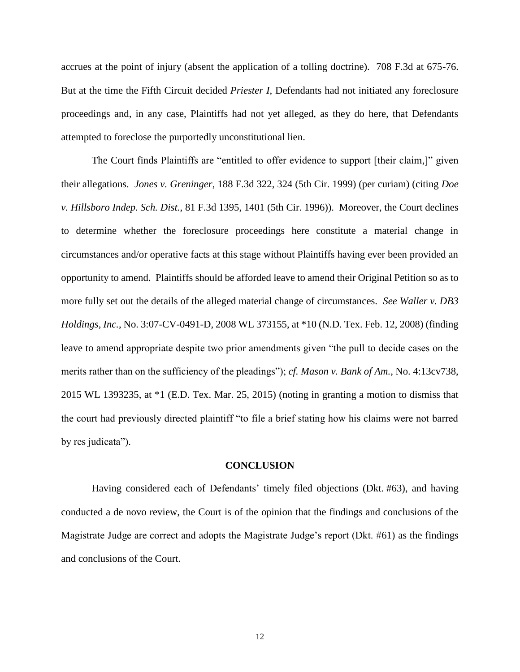accrues at the point of injury (absent the application of a tolling doctrine). 708 F.3d at 675-76. But at the time the Fifth Circuit decided *Priester I*, Defendants had not initiated any foreclosure proceedings and, in any case, Plaintiffs had not yet alleged, as they do here, that Defendants attempted to foreclose the purportedly unconstitutional lien.

The Court finds Plaintiffs are "entitled to offer evidence to support [their claim,]" given their allegations. *Jones v. Greninger*, 188 F.3d 322, 324 (5th Cir. 1999) (per curiam) (citing *Doe v. Hillsboro Indep. Sch. Dist.*, 81 F.3d 1395, 1401 (5th Cir. 1996)). Moreover, the Court declines to determine whether the foreclosure proceedings here constitute a material change in circumstances and/or operative facts at this stage without Plaintiffs having ever been provided an opportunity to amend. Plaintiffs should be afforded leave to amend their Original Petition so as to more fully set out the details of the alleged material change of circumstances. *See Waller v. DB3 Holdings, Inc.*, No. 3:07-CV-0491-D, 2008 WL 373155, at \*10 (N.D. Tex. Feb. 12, 2008) (finding leave to amend appropriate despite two prior amendments given "the pull to decide cases on the merits rather than on the sufficiency of the pleadings"); *cf. Mason v. Bank of Am.*, No. 4:13cv738, 2015 WL 1393235, at \*1 (E.D. Tex. Mar. 25, 2015) (noting in granting a motion to dismiss that the court had previously directed plaintiff "to file a brief stating how his claims were not barred by res judicata").

#### **CONCLUSION**

Having considered each of Defendants' timely filed objections (Dkt. #63), and having conducted a de novo review, the Court is of the opinion that the findings and conclusions of the Magistrate Judge are correct and adopts the Magistrate Judge's report (Dkt. #61) as the findings and conclusions of the Court.